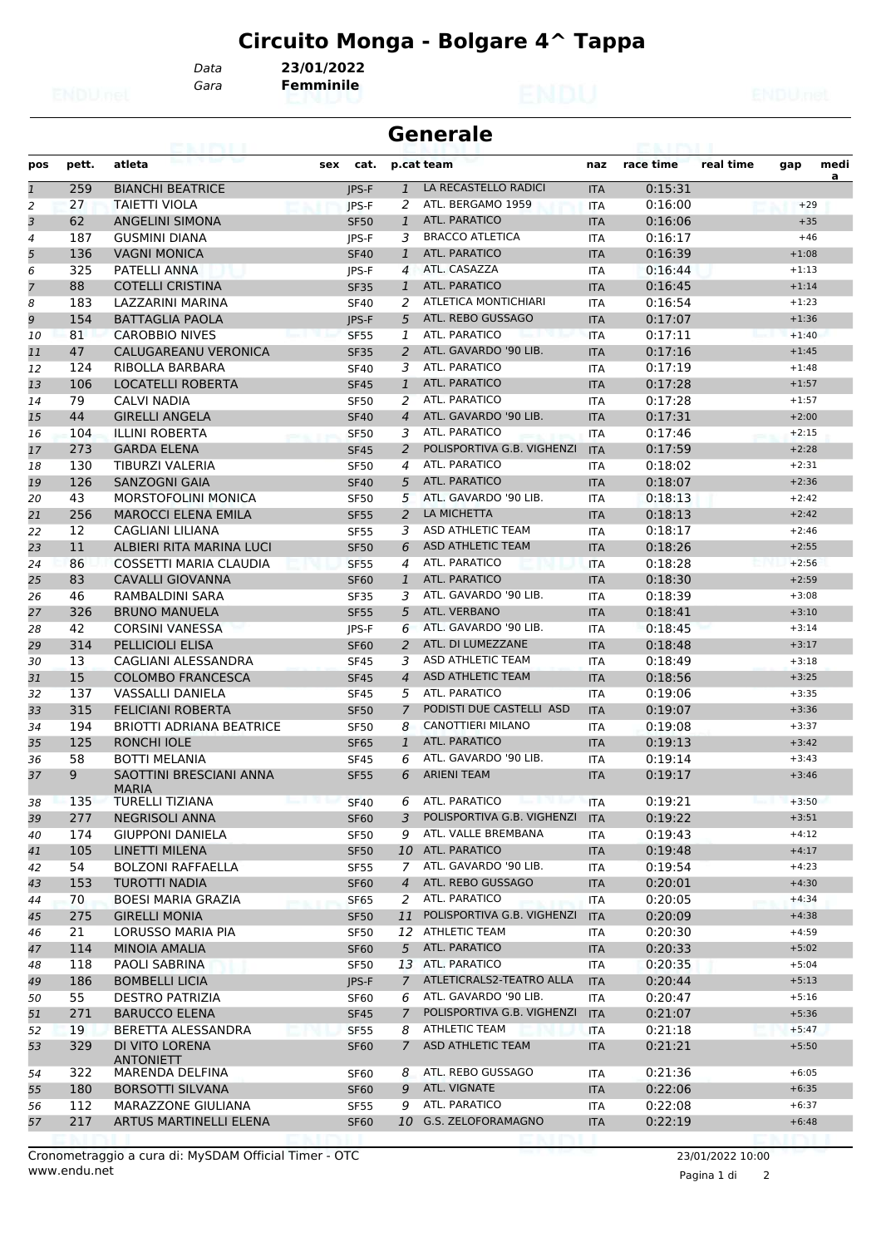*Data* **23/01/2022**

*Gara* **Femminile**

| <b>Generale</b><br>eairtí |            |                                                             |                            |                     |                                        |                          |                    |           |                    |           |
|---------------------------|------------|-------------------------------------------------------------|----------------------------|---------------------|----------------------------------------|--------------------------|--------------------|-----------|--------------------|-----------|
| pos                       | pett.      | atleta                                                      | sex<br>cat.                |                     | p.cat team                             | naz                      | race time          | real time | gap                | medi<br>a |
| $\mathbf{1}$              | 259        | <b>BIANCHI BEATRICE</b>                                     | <b>IPS-F</b>               | $\mathbf{1}$        | LA RECASTELLO RADICI                   | <b>ITA</b>               | 0:15:31            |           |                    |           |
| 2                         | 27         | <b>TAIETTI VIOLA</b>                                        | IPS-F                      | 2                   | ATL. BERGAMO 1959                      | <b>ITA</b>               | 0:16:00            |           | $+29$              |           |
| 3                         | 62         | <b>ANGELINI SIMONA</b>                                      | <b>SF50</b>                | $\mathbf{1}$        | ATL. PARATICO                          | <b>ITA</b>               | 0:16:06            |           | $+35$              |           |
| 4                         | 187        | <b>GUSMINI DIANA</b>                                        | <b>IPS-F</b>               | 3                   | <b>BRACCO ATLETICA</b>                 | <b>ITA</b>               | 0:16:17            |           | $+46$              |           |
| 5                         | 136        | <b>VAGNI MONICA</b>                                         | <b>SF40</b>                | 1                   | ATL. PARATICO                          | <b>ITA</b>               | 0:16:39            |           | $+1:08$            |           |
| 6                         | 325        | PATELLI ANNA                                                | JPS-F                      | $\overline{4}$      | ATL. CASAZZA                           | <b>ITA</b>               | 0:16:44            |           | $+1:13$            |           |
| $\overline{z}$            | 88         | <b>COTELLI CRISTINA</b>                                     | <b>SF35</b>                | $\mathbf{1}$        | ATL. PARATICO                          | <b>ITA</b>               | 0:16:45            |           | $+1:14$            |           |
| 8                         | 183        | LAZZARINI MARINA                                            | <b>SF40</b>                | 2                   | <b>ATLETICA MONTICHIARI</b>            | <b>ITA</b>               | 0:16:54            |           | $+1:23$            |           |
| 9                         | 154        | <b>BATTAGLIA PAOLA</b>                                      | <b>IPS-F</b>               | 5                   | ATL. REBO GUSSAGO                      | <b>ITA</b>               | 0:17:07            |           | $+1:36$            |           |
| 10                        | 81         | <b>CAROBBIO NIVES</b>                                       | <b>SF55</b>                | 1                   | ATL. PARATICO                          | <b>ITA</b>               | 0:17:11            |           | $+1:40$            |           |
| 11                        | 47         | CALUGAREANU VERONICA                                        | <b>SF35</b>                | 2                   | ATL. GAVARDO '90 LIB.                  | <b>ITA</b>               | 0:17:16            |           | $+1:45$            |           |
| 12                        | 124        | RIBOLLA BARBARA                                             | <b>SF40</b>                | 3                   | ATL. PARATICO                          | <b>ITA</b>               | 0:17:19            |           | $+1:48$            |           |
| 13                        | 106        | LOCATELLI ROBERTA                                           | <b>SF45</b>                | $\mathbf{1}$        | ATL. PARATICO                          | <b>ITA</b>               | 0:17:28            |           | $+1:57$            |           |
| 14                        | 79         | <b>CALVI NADIA</b>                                          | <b>SF50</b>                | 2                   | ATL. PARATICO                          | <b>ITA</b>               | 0:17:28            |           | $+1:57$            |           |
| 15                        | 44         | <b>GIRELLI ANGELA</b>                                       | <b>SF40</b>                | $\overline{4}$      | ATL. GAVARDO '90 LIB.                  | <b>ITA</b>               | 0:17:31            |           | $+2:00$            |           |
| 16                        | 104        | <b>ILLINI ROBERTA</b>                                       | <b>SF50</b>                | 3                   | ATL. PARATICO                          | <b>ITA</b>               | 0:17:46            |           | $+2:15$            |           |
| 17                        | 273        | <b>GARDA ELENA</b>                                          | <b>SF45</b>                | 2                   | POLISPORTIVA G.B. VIGHENZI             | <b>ITA</b>               | 0:17:59            |           | $+2:28$            |           |
| 18                        | 130        | <b>TIBURZI VALERIA</b>                                      | <b>SF50</b>                | 4                   | ATL. PARATICO                          | <b>ITA</b>               | 0:18:02            |           | $+2:31$            |           |
| 19                        | 126        | <b>SANZOGNI GAIA</b>                                        | <b>SF40</b>                | 5                   | ATL. PARATICO                          | <b>ITA</b>               | 0:18:07            |           | $+2:36$            |           |
| 20                        | 43         | <b>MORSTOFOLINI MONICA</b>                                  | <b>SF50</b>                | 5                   | ATL. GAVARDO '90 LIB.                  | <b>ITA</b>               | 0:18:13            |           | $+2:42$            |           |
| 21                        | 256        | <b>MAROCCI ELENA EMILA</b>                                  | <b>SF55</b>                | $\overline{2}$      | LA MICHETTA                            | <b>ITA</b>               | 0:18:13            |           | $+2:42$            |           |
| 22                        | 12         | CAGLIANI LILIANA                                            | <b>SF55</b>                | 3                   | ASD ATHLETIC TEAM                      | <b>ITA</b>               | 0:18:17            |           | $+2:46$            |           |
| 23                        | 11         | ALBIERI RITA MARINA LUCI                                    | <b>SF50</b>                | 6                   | <b>ASD ATHLETIC TEAM</b>               | <b>ITA</b>               | 0:18:26            |           | $+2:55$            |           |
| 24                        | 86         | <b>COSSETTI MARIA CLAUDIA</b>                               | <b>SF55</b>                | 4                   | ATL. PARATICO                          | <b>ITA</b>               | 0:18:28            |           | $+2:56$            |           |
| 25                        | 83         | <b>CAVALLI GIOVANNA</b>                                     | <b>SF60</b>                | $\mathbf{1}$        | <b>ATL, PARATICO</b>                   | <b>ITA</b>               | 0:18:30            |           | $+2:59$            |           |
| 26                        | 46         | RAMBALDINI SARA                                             | <b>SF35</b>                | 3                   | ATL. GAVARDO '90 LIB.                  | <b>ITA</b>               | 0:18:39            |           | $+3:08$            |           |
| 27                        | 326        | <b>BRUNO MANUELA</b>                                        | <b>SF55</b>                | 5                   | ATL. VERBANO                           | <b>ITA</b>               | 0:18:41            |           | $+3:10$            |           |
| 28                        | 42         | <b>CORSINI VANESSA</b>                                      | JPS-F                      | 6                   | ATL. GAVARDO '90 LIB.                  | <b>ITA</b>               | 0:18:45            |           | $+3:14$            |           |
| 29                        | 314        | <b>PELLICIOLI ELISA</b>                                     | <b>SF60</b>                | 2                   | ATL. DI LUMEZZANE<br>ASD ATHLETIC TEAM | <b>ITA</b>               | 0:18:48            |           | $+3:17$            |           |
| 30                        | 13<br>15   | CAGLIANI ALESSANDRA                                         | <b>SF45</b>                | 3<br>$\overline{4}$ | <b>ASD ATHLETIC TEAM</b>               | <b>ITA</b>               | 0:18:49            |           | $+3:18$            |           |
| 31                        | 137        | <b>COLOMBO FRANCESCA</b><br><b>VASSALLI DANIELA</b>         | <b>SF45</b>                |                     | ATL. PARATICO                          | <b>ITA</b>               | 0:18:56<br>0:19:06 |           | $+3:25$<br>$+3:35$ |           |
| 32                        | 315        |                                                             | <b>SF45</b>                | 5<br>7              | PODISTI DUE CASTELLI ASD               | <b>ITA</b>               |                    |           | $+3:36$            |           |
| 33<br>34                  | 194        | <b>FELICIANI ROBERTA</b><br><b>BRIOTTI ADRIANA BEATRICE</b> | <b>SF50</b><br><b>SF50</b> | 8                   | <b>CANOTTIERI MILANO</b>               | <b>ITA</b><br><b>ITA</b> | 0:19:07<br>0:19:08 |           | $+3:37$            |           |
| 35                        | 125        | <b>RONCHI IOLE</b>                                          | <b>SF65</b>                | $\mathbf{1}$        | <b>ATL. PARATICO</b>                   | <b>ITA</b>               | 0:19:13            |           | $+3:42$            |           |
| 36                        | 58         | <b>BOTTI MELANIA</b>                                        | <b>SF45</b>                | 6                   | ATL. GAVARDO '90 LIB.                  | <b>ITA</b>               | 0:19:14            |           | $+3:43$            |           |
| 37                        | 9          | <b>SAOTTINI BRESCIANI ANNA</b>                              | <b>SF55</b>                | 6                   | <b>ARIENI TEAM</b>                     | <b>ITA</b>               | 0:19:17            |           | $+3:46$            |           |
|                           |            | <b>MARIA</b>                                                |                            |                     | ATL. PARATICO<br>հու 1 /Կ 1ո           |                          |                    |           |                    |           |
| 38                        | 135        | <b>TURELLI TIZIANA</b>                                      | <b>SF40</b>                | 6<br>3              | POLISPORTIVA G.B. VIGHENZI             | <b>ITA</b>               | 0:19:21            |           | $+3:50$            |           |
| 39                        | 277<br>174 | <b>NEGRISOLI ANNA</b><br><b>GIUPPONI DANIELA</b>            | <b>SF60</b>                | 9                   | ATL. VALLE BREMBANA                    | <b>ITA</b>               | 0:19:22<br>0:19:43 |           | $+3:51$<br>$+4:12$ |           |
| 40<br>41                  | 105        | LINETTI MILENA                                              | <b>SF50</b><br><b>SF50</b> |                     | 10 ATL. PARATICO                       | ITA<br><b>ITA</b>        | 0:19:48            |           | $+4:17$            |           |
|                           | 54         | <b>BOLZONI RAFFAELLA</b>                                    | <b>SF55</b>                | $\overline{7}$      | ATL. GAVARDO '90 LIB.                  |                          | 0:19:54            |           | $+4:23$            |           |
| 42<br>43                  | 153        | <b>TUROTTI NADIA</b>                                        | <b>SF60</b>                | $\overline{4}$      | ATL. REBO GUSSAGO                      | ITA<br><b>ITA</b>        | 0:20:01            |           | $+4:30$            |           |
| 44                        | 70         | <b>BOESI MARIA GRAZIA</b>                                   | SF65                       | 2                   | ATL. PARATICO                          | ITA                      | 0:20:05            |           | $+4:34$            |           |
| 45                        | 275        | <b>GIRELLI MONIA</b>                                        | <b>SF50</b>                | 11                  | POLISPORTIVA G.B. VIGHENZI             | <b>ITA</b>               | 0:20:09            |           | $+4:38$            |           |
| 46                        | 21         | <b>LORUSSO MARIA PIA</b>                                    | SF50                       |                     | 12 ATHLETIC TEAM                       | ITA                      | 0:20:30            |           | $+4:59$            |           |
| 47                        | 114        | <b>MINOIA AMALIA</b>                                        | <b>SF60</b>                | 5                   | ATL. PARATICO                          | <b>ITA</b>               | 0:20:33            |           | $+5:02$            |           |
| 48                        | 118        | PAOLI SABRINA                                               | <b>SF50</b>                |                     | 13 ATL. PARATICO                       | ITA                      | 0:20:35            |           | $+5:04$            |           |
| 49                        | 186        | <b>BOMBELLI LICIA</b>                                       | JPS-F                      | $\overline{7}$      | ATLETICRALS2-TEATRO ALLA               | <b>ITA</b>               | 0:20:44            |           | $+5:13$            |           |
| 50                        | 55         | <b>DESTRO PATRIZIA</b>                                      | <b>SF60</b>                | 6                   | ATL. GAVARDO '90 LIB.                  | ITA                      | 0:20:47            |           | $+5:16$            |           |
| 51                        | 271        | <b>BARUCCO ELENA</b>                                        | <b>SF45</b>                | $\overline{7}$      | POLISPORTIVA G.B. VIGHENZI             | <b>ITA</b>               | 0:21:07            |           | $+5:36$            |           |
| 52                        | 19         | BERETTA ALESSANDRA                                          | SF <sub>55</sub>           | 8                   | <b>ATHLETIC TEAM</b>                   | ITA                      | 0:21:18            |           | $+5:47$            |           |
| 53                        | 329        | DI VITO LORENA                                              | <b>SF60</b>                | $\mathcal{I}$       | ASD ATHLETIC TEAM                      | <b>ITA</b>               | 0:21:21            |           | $+5:50$            |           |
|                           |            | <b>ANTONIETT</b>                                            |                            |                     |                                        |                          |                    |           |                    |           |
| 54                        | 322        | MARENDA DELFINA                                             | <b>SF60</b>                | 8                   | ATL. REBO GUSSAGO                      | ITA                      | 0:21:36            |           | $+6:05$            |           |
| 55                        | 180        | <b>BORSOTTI SILVANA</b>                                     | <b>SF60</b>                | 9                   | ATL. VIGNATE                           | <b>ITA</b>               | 0:22:06            |           | $+6:35$            |           |
| 56                        | 112        | MARAZZONE GIULIANA                                          | <b>SF55</b>                | 9                   | ATL. PARATICO                          | ITA                      | 0:22:08            |           | $+6:37$            |           |
| 57                        | 217        | ARTUS MARTINELLI ELENA                                      | <b>SF60</b>                |                     | 10 G.S. ZELOFORAMAGNO                  | <b>ITA</b>               | 0:22:19            |           | $+6:48$            |           |

Pagina 1 di 2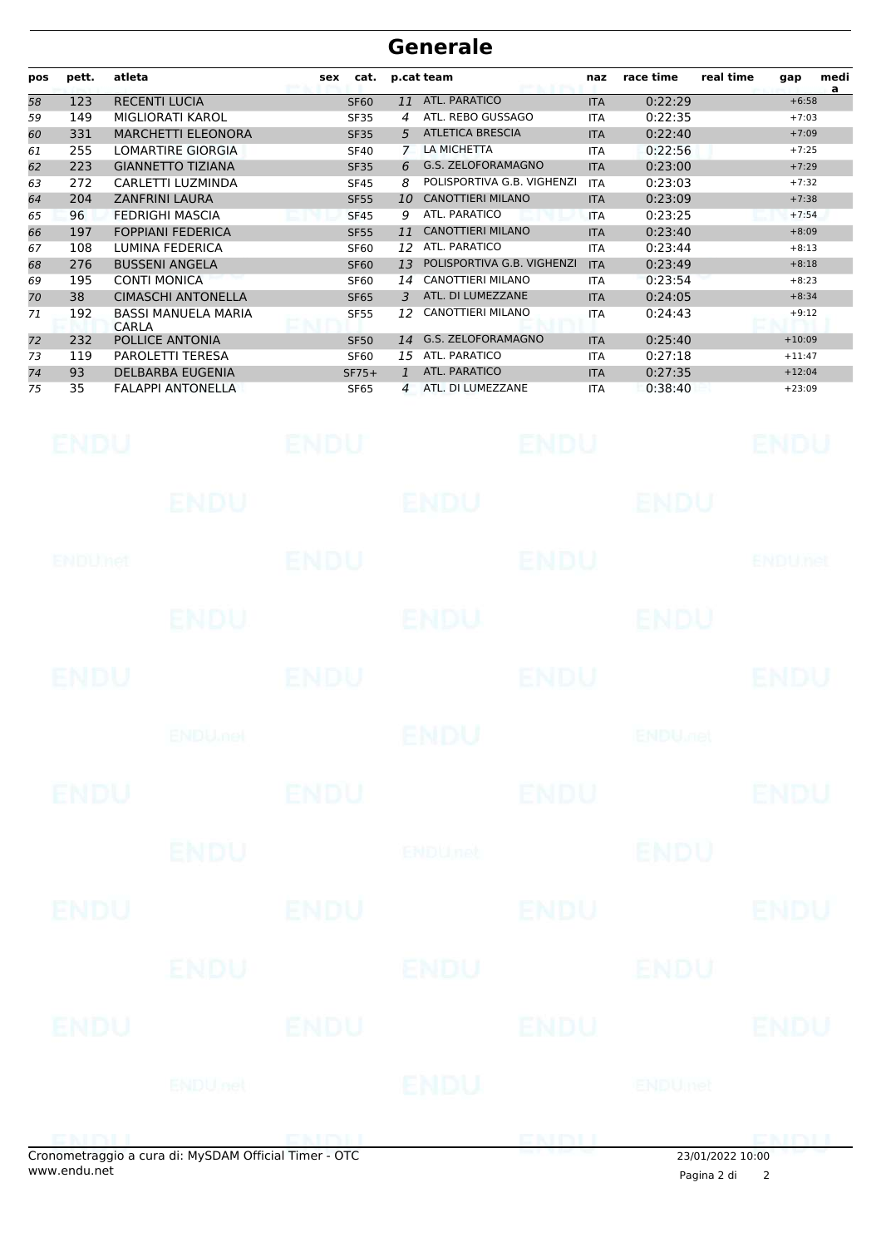#### **Generale**

| pos | pett. | atleta                              | cat.<br>sex |                | p.cat team                 | naz        | race time | real time<br>medi<br>gap<br>a |
|-----|-------|-------------------------------------|-------------|----------------|----------------------------|------------|-----------|-------------------------------|
| 58  | 123   | <b>RECENTI LUCIA</b>                | <b>SF60</b> | 11             | <b>ATL. PARATICO</b>       | <b>ITA</b> | 0:22:29   | $+6:58$                       |
| 59  | 149   | MIGLIORATI KAROL                    | <b>SF35</b> | 4              | ATL. REBO GUSSAGO          | <b>ITA</b> | 0:22:35   | $+7:03$                       |
| 60  | 331   | <b>MARCHETTI ELEONORA</b>           | <b>SF35</b> | 5              | <b>ATLETICA BRESCIA</b>    | <b>ITA</b> | 0:22:40   | $+7:09$                       |
| 61  | 255   | <b>LOMARTIRE GIORGIA</b>            | <b>SF40</b> |                | LA MICHETTA                | <b>ITA</b> | 0:22:56   | $+7:25$                       |
| 62  | 223   | <b>GIANNETTO TIZIANA</b>            | <b>SF35</b> | 6              | G.S. ZELOFORAMAGNO         | <b>ITA</b> | 0:23:00   | $+7:29$                       |
| 63  | 272   | CARLETTI LUZMINDA                   | <b>SF45</b> | 8              | POLISPORTIVA G.B. VIGHENZI | <b>ITA</b> | 0:23:03   | $+7:32$                       |
| 64  | 204   | <b>ZANFRINI LAURA</b>               | <b>SF55</b> | 10             | <b>CANOTTIERI MILANO</b>   | <b>ITA</b> | 0:23:09   | $+7:38$                       |
| 65  | 96    | <b>FEDRIGHI MASCIA</b>              | <b>SF45</b> | 9              | ATL. PARATICO              | <b>ITA</b> | 0:23:25   | $+7:54$                       |
| 66  | 197   | <b>FOPPIANI FEDERICA</b>            | <b>SF55</b> | 11             | <b>CANOTTIERI MILANO</b>   | <b>ITA</b> | 0:23:40   | $+8:09$                       |
| 67  | 108   | LUMINA FEDERICA                     | <b>SF60</b> | 12             | ATL. PARATICO              | <b>ITA</b> | 0:23:44   | $+8:13$                       |
| 68  | 276   | <b>BUSSENI ANGELA</b>               | <b>SF60</b> | 13             | POLISPORTIVA G.B. VIGHENZI | <b>ITA</b> | 0:23:49   | $+8:18$                       |
| 69  | 195   | <b>CONTI MONICA</b>                 | <b>SF60</b> | 14             | <b>CANOTTIERI MILANO</b>   | <b>ITA</b> | 0:23:54   | $+8:23$                       |
| 70  | 38    | <b>CIMASCHI ANTONELLA</b>           | <b>SF65</b> | 3              | ATL. DI LUMEZZANE          | <b>ITA</b> | 0:24:05   | $+8:34$                       |
| 71  | 192   | <b>BASSI MANUELA MARIA</b><br>CARLA | <b>SF55</b> | 12             | <b>CANOTTIERI MILANO</b>   | <b>ITA</b> | 0:24:43   | $+9:12$                       |
| 72  | 232   | POLLICE ANTONIA                     | <b>SF50</b> | 14             | G.S. ZELOFORAMAGNO         | <b>ITA</b> | 0:25:40   | $+10:09$                      |
| 73  | 119   | <b>PAROLETTI TERESA</b>             | <b>SF60</b> | 15             | ATL. PARATICO              | <b>ITA</b> | 0:27:18   | $+11:47$                      |
| 74  | 93    | <b>DELBARBA EUGENIA</b>             | $SF75+$     | 1              | ATL. PARATICO              | <b>ITA</b> | 0:27:35   | $+12:04$                      |
| 75  | 35    | <b>FALAPPI ANTONELLA</b>            | <b>SF65</b> | $\overline{A}$ | ATL. DI LUMEZZANE          | <b>ITA</b> | 0:38:40   | $+23:09$                      |

| <b>ENDU</b> |                                                     |             | ENDU ENDU ENDU ENDU           |             |                    |                |
|-------------|-----------------------------------------------------|-------------|-------------------------------|-------------|--------------------|----------------|
|             |                                                     |             | ENDU ENDU ENDU ENDU           |             |                    |                |
| ENDUMET     |                                                     | <b>ENDU</b> |                               | ENDU        |                    | <b>ENDUnet</b> |
|             |                                                     |             | ENDU ENDU ENDU                |             |                    |                |
| <b>ENDU</b> | ENDU                                                |             |                               | <b>ENDU</b> | ENDU               |                |
|             |                                                     |             | ENDU ENDU ENDU ENDU ENDU ENDU |             |                    |                |
| <b>ENDU</b> |                                                     |             | ENDU ENDU ENDU ENDU           |             |                    |                |
|             |                                                     |             | ENDU <b>ENDU</b> net          |             | <b>ENDU</b>        |                |
| <b>ENDU</b> |                                                     |             | ENDU ENDU                     |             |                    | <b>ENDU</b>    |
|             |                                                     |             | ENDU ENDU ENDU                |             |                    |                |
|             |                                                     |             | ENDU ENDU ENDU ENDU           |             |                    | <b>ENDU</b>    |
|             |                                                     |             | ENDU net ENDU                 |             |                    |                |
|             | opometraggio a cura di: MySDAM Official Timer - OTC |             | <b>ENDITORY</b>               |             | (0.0152023, 0.000) |                |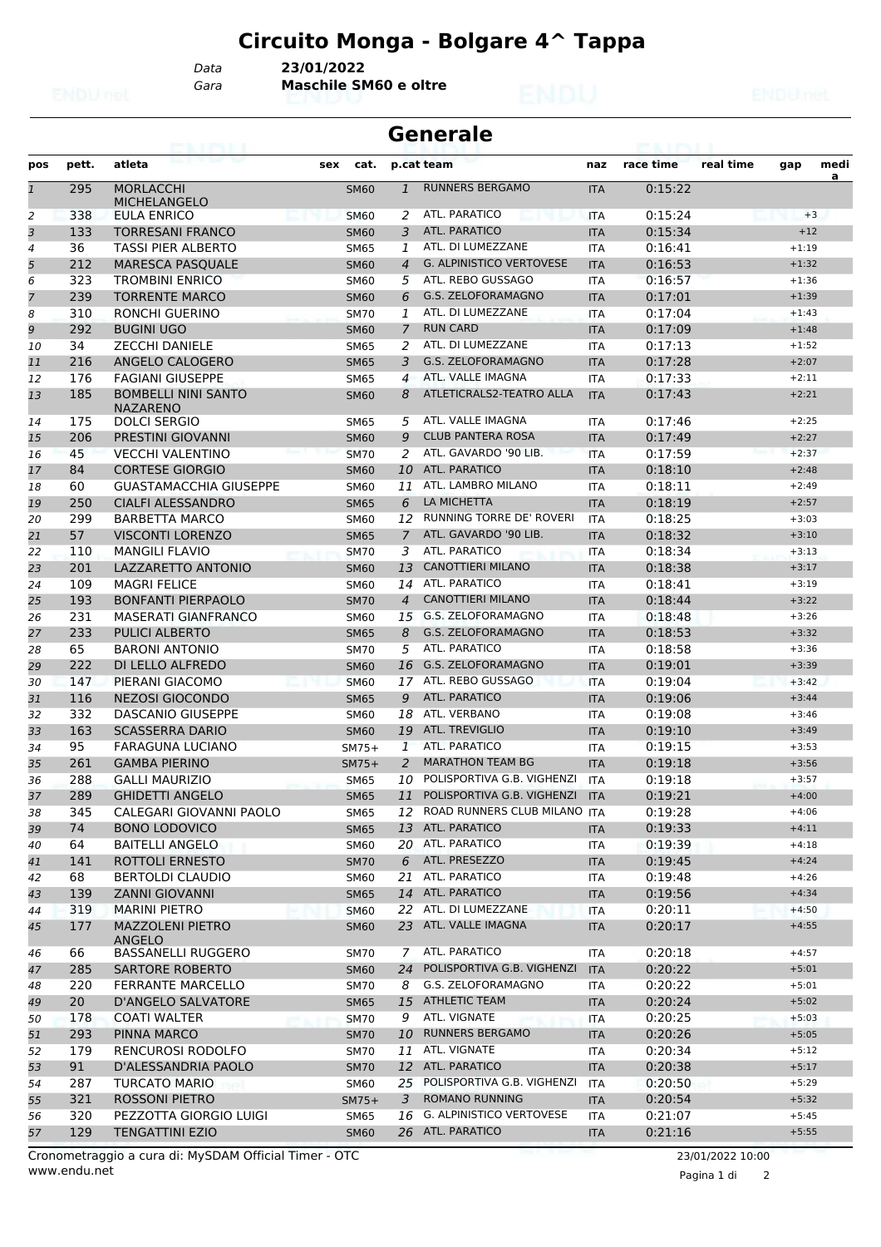*Data* **23/01/2022**

*Gara* **Maschile SM60 e oltre**

| <b>Generale</b><br>63. I PS I. I |       |                                               |     |             |                |                                 |            |           |           |         |           |
|----------------------------------|-------|-----------------------------------------------|-----|-------------|----------------|---------------------------------|------------|-----------|-----------|---------|-----------|
| pos                              | pett. | atleta                                        | sex | cat.        |                | p.cat team                      | naz        | race time | real time | gap     | medi<br>a |
| $\mathbf{1}$                     | 295   | <b>MORLACCHI</b><br><b>MICHELANGELO</b>       |     | <b>SM60</b> | $\mathbf{1}$   | <b>RUNNERS BERGAMO</b>          | <b>ITA</b> | 0:15:22   |           |         |           |
| 2                                | 338   | EULA ENRICO                                   |     | <b>SM60</b> | 2              | ATL. PARATICO                   | <b>ITA</b> | 0:15:24   |           | $+3$    |           |
| 3                                | 133   | <b>TORRESANI FRANCO</b>                       |     | <b>SM60</b> | 3              | <b>ATL. PARATICO</b>            | <b>ITA</b> | 0:15:34   |           | $+12$   |           |
| 4                                | 36    | TASSI PIER ALBERTO                            |     | SM65        | 1              | ATL. DI LUMEZZANE               | <b>ITA</b> | 0:16:41   |           | $+1:19$ |           |
| 5                                | 212   | <b>MARESCA PASQUALE</b>                       |     | <b>SM60</b> | $\overline{4}$ | <b>G. ALPINISTICO VERTOVESE</b> | <b>ITA</b> | 0:16:53   |           | $+1:32$ |           |
| 6                                | 323   | <b>TROMBINI ENRICO</b>                        |     | <b>SM60</b> | 5              | ATL. REBO GUSSAGO               | <b>ITA</b> | 0:16:57   |           | $+1:36$ |           |
| $\overline{7}$                   | 239   | <b>TORRENTE MARCO</b>                         |     | <b>SM60</b> | 6              | <b>G.S. ZELOFORAMAGNO</b>       | <b>ITA</b> | 0:17:01   |           | $+1:39$ |           |
| 8                                | 310   | RONCHI GUERINO                                |     | <b>SM70</b> | 1              | ATL. DI LUMEZZANE               | ITA        | 0:17:04   |           | $+1:43$ |           |
| 9                                | 292   | <b>BUGINI UGO</b>                             |     | <b>SM60</b> | 7              | <b>RUN CARD</b>                 | <b>ITA</b> | 0:17:09   |           | $+1:48$ |           |
| 10                               | 34    | <b>ZECCHI DANIELE</b>                         |     | SM65        | 2              | ATL. DI LUMEZZANE               | <b>ITA</b> | 0:17:13   |           | $+1:52$ |           |
| 11                               | 216   | ANGELO CALOGERO                               |     | <b>SM65</b> | 3              | <b>G.S. ZELOFORAMAGNO</b>       | <b>ITA</b> | 0:17:28   |           | $+2:07$ |           |
| 12                               | 176   | <b>FAGIANI GIUSEPPE</b>                       |     | <b>SM65</b> | 4              | ATL. VALLE IMAGNA               | <b>ITA</b> | 0:17:33   |           | $+2:11$ |           |
| 13                               | 185   | <b>BOMBELLI NINI SANTO</b><br><b>NAZARENO</b> |     | <b>SM60</b> | 8              | ATLETICRALS2-TEATRO ALLA        | <b>ITA</b> | 0:17:43   |           | $+2:21$ |           |
| 14                               | 175   | <b>DOLCI SERGIO</b>                           |     | SM65        | 5              | ATL. VALLE IMAGNA               | ITA        | 0:17:46   |           | $+2:25$ |           |
| 15                               | 206   | PRESTINI GIOVANNI                             |     | <b>SM60</b> | 9              | <b>CLUB PANTERA ROSA</b>        | <b>ITA</b> | 0:17:49   |           | $+2:27$ |           |
| 16                               | 45    | <b>VECCHI VALENTINO</b>                       |     | <b>SM70</b> | 2              | ATL. GAVARDO '90 LIB.           | <b>ITA</b> | 0:17:59   |           | $+2:37$ |           |
| 17                               | 84    | <b>CORTESE GIORGIO</b>                        |     | <b>SM60</b> | 10             | <b>ATL. PARATICO</b>            | <b>ITA</b> | 0:18:10   |           | $+2:48$ |           |
| 18                               | 60    | <b>GUASTAMACCHIA GIUSEPPE</b>                 |     | <b>SM60</b> | 11             | ATL. LAMBRO MILANO              | <b>ITA</b> | 0:18:11   |           | $+2:49$ |           |
| 19                               | 250   | <b>CIALFI ALESSANDRO</b>                      |     | <b>SM65</b> | 6              | LA MICHETTA                     | <b>ITA</b> | 0:18:19   |           | $+2:57$ |           |
| 20                               | 299   | <b>BARBETTA MARCO</b>                         |     | SM60        | 12             | RUNNING TORRE DE' ROVERI        | <b>ITA</b> | 0:18:25   |           | $+3:03$ |           |
| 21                               | 57    | <b>VISCONTI LORENZO</b>                       |     | <b>SM65</b> | $\overline{7}$ | ATL. GAVARDO '90 LIB.           | <b>ITA</b> | 0:18:32   |           | $+3:10$ |           |
| 22                               | 110   | <b>MANGILI FLAVIO</b>                         |     | <b>SM70</b> | 3              | ATL. PARATICO                   | <b>ITA</b> | 0:18:34   |           | $+3:13$ |           |
| 23                               | 201   | LAZZARETTO ANTONIO                            |     | <b>SM60</b> | 13             | <b>CANOTTIERI MILANO</b>        | <b>ITA</b> | 0:18:38   |           | $+3:17$ |           |
| 24                               | 109   | <b>MAGRI FELICE</b>                           |     | <b>SM60</b> | 14             | ATL. PARATICO                   | <b>ITA</b> | 0:18:41   |           | $+3:19$ |           |
| 25                               | 193   | <b>BONFANTI PIERPAOLO</b>                     |     | <b>SM70</b> | $\overline{4}$ | <b>CANOTTIERI MILANO</b>        | <b>ITA</b> | 0:18:44   |           | $+3:22$ |           |
| 26                               | 231   | <b>MASERATI GIANFRANCO</b>                    |     | <b>SM60</b> | 15             | <b>G.S. ZELOFORAMAGNO</b>       | <b>ITA</b> | 0:18:48   |           | $+3:26$ |           |
| 27                               | 233   | <b>PULICI ALBERTO</b>                         |     | <b>SM65</b> | 8              | G.S. ZELOFORAMAGNO              | <b>ITA</b> | 0:18:53   |           | $+3:32$ |           |
| 28                               | 65    | <b>BARONI ANTONIO</b>                         |     | <b>SM70</b> | 5              | ATL. PARATICO                   | <b>ITA</b> | 0:18:58   |           | $+3:36$ |           |
| 29                               | 222   | DI LELLO ALFREDO                              |     | <b>SM60</b> | 16             | <b>G.S. ZELOFORAMAGNO</b>       | <b>ITA</b> | 0:19:01   |           | $+3:39$ |           |
| 30                               | 147   | PIERANI GIACOMO                               |     | <b>SM60</b> | 17             | ATL. REBO GUSSAGO               | <b>ITA</b> | 0:19:04   |           | $+3:42$ |           |
| 31                               | 116   | <b>NEZOSI GIOCONDO</b>                        |     | <b>SM65</b> | 9              | <b>ATL. PARATICO</b>            | <b>ITA</b> | 0:19:06   |           | $+3:44$ |           |
| 32                               | 332   | <b>DASCANIO GIUSEPPE</b>                      |     | SM60        | 18             | ATL. VERBANO                    | ITA        | 0:19:08   |           | $+3:46$ |           |
| 33                               | 163   | <b>SCASSERRA DARIO</b>                        |     | <b>SM60</b> | 19             | ATL. TREVIGLIO                  | <b>ITA</b> | 0:19:10   |           | $+3:49$ |           |
| 34                               | 95    | FARAGUNA LUCIANO                              |     | $SM75+$     | $\mathbf{1}$   | <b>ATL. PARATICO</b>            | <b>ITA</b> | 0:19:15   |           | $+3:53$ |           |
| 35                               | 261   | <b>GAMBA PIERINO</b>                          |     | $SM75+$     | 2              | <b>MARATHON TEAM BG</b>         | <b>ITA</b> | 0:19:18   |           | $+3:56$ |           |
| 36                               | 288   | <b>GALLI MAURIZIO</b>                         |     | <b>SM65</b> | 10             | POLISPORTIVA G.B. VIGHENZI      | <b>ITA</b> | 0:19:18   |           | $+3:57$ |           |
| 37                               | 289   | <b>GHIDETTI ANGELO</b>                        |     | <b>SM65</b> |                | 11 POLISPORTIVA G.B. VIGHENZI   | <b>ITA</b> | 0:19:21   |           | $+4:00$ |           |
| 38                               | 345   | CALEGARI GIOVANNI PAOLO                       |     | SM65        | 12             | ROAD RUNNERS CLUB MILANO ITA    |            | 0:19:28   |           | $+4:06$ |           |
| 39                               | 74    | <b>BONO LODOVICO</b>                          |     | <b>SM65</b> |                | 13 ATL. PARATICO                | <b>ITA</b> | 0:19:33   |           | $+4:11$ |           |
| 40                               | 64    | <b>BAITELLI ANGELO</b>                        |     | <b>SM60</b> |                | 20 ATL. PARATICO                | ITA        | 0:19:39   |           | $+4:18$ |           |
| 41                               | 141   | ROTTOLI ERNESTO                               |     | <b>SM70</b> | 6              | ATL. PRESEZZO                   | <b>ITA</b> | 0:19:45   |           | $+4:24$ |           |
| 42                               | 68    | <b>BERTOLDI CLAUDIO</b>                       |     | <b>SM60</b> |                | 21 ATL. PARATICO                | ITA        | 0:19:48   |           | $+4:26$ |           |
| 43                               | 139   | <b>ZANNI GIOVANNI</b>                         |     | <b>SM65</b> |                | 14 ATL. PARATICO                | <b>ITA</b> | 0:19:56   |           | $+4:34$ |           |
| 44                               | 319   | <b>MARINI PIETRO</b>                          |     | <b>SM60</b> |                | 22 ATL. DI LUMEZZANE            | ITA        | 0:20:11   |           | $+4:50$ |           |
| 45                               | 177   | <b>MAZZOLENI PIETRO</b><br><b>ANGELO</b>      |     | <b>SM60</b> |                | 23 ATL. VALLE IMAGNA            | <b>ITA</b> | 0:20:17   |           | $+4:55$ |           |
| 46                               | 66    | <b>BASSANELLI RUGGERO</b>                     |     | <b>SM70</b> | 7              | ATL. PARATICO                   | ITA        | 0:20:18   |           | $+4:57$ |           |
| 47                               | 285   | <b>SARTORE ROBERTO</b>                        |     | <b>SM60</b> | 24             | POLISPORTIVA G.B. VIGHENZI      | <b>ITA</b> | 0:20:22   |           | $+5:01$ |           |
| 48                               | 220   | <b>FERRANTE MARCELLO</b>                      |     | <b>SM70</b> | 8              | G.S. ZELOFORAMAGNO              | ITA        | 0:20:22   |           | $+5:01$ |           |
| 49                               | 20    | <b>D'ANGELO SALVATORE</b>                     |     | <b>SM65</b> | 15             | <b>ATHLETIC TEAM</b>            | <b>ITA</b> | 0:20:24   |           | $+5:02$ |           |
| 50                               | 178   | <b>COATI WALTER</b>                           |     | <b>SM70</b> | 9              | ATL. VIGNATE                    | ITA        | 0:20:25   |           | $+5:03$ |           |
| 51                               | 293   | PINNA MARCO                                   |     | <b>SM70</b> | 10             | <b>RUNNERS BERGAMO</b>          | <b>ITA</b> | 0:20:26   |           | $+5:05$ |           |
| 52                               | 179   | RENCUROSI RODOLFO                             |     | <b>SM70</b> |                | 11 ATL. VIGNATE                 | ITA        | 0:20:34   |           | $+5:12$ |           |
| 53                               | 91    | D'ALESSANDRIA PAOLO                           |     | <b>SM70</b> |                | 12 ATL. PARATICO                | <b>ITA</b> | 0:20:38   |           | $+5:17$ |           |
| 54                               | 287   | <b>TURCATO MARIO</b>                          |     | <b>SM60</b> | 25             | POLISPORTIVA G.B. VIGHENZI      | ITA        | 0:20:50   |           | $+5:29$ |           |
| 55                               | 321   | <b>ROSSONI PIETRO</b>                         |     | $SM75+$     | 3              | <b>ROMANO RUNNING</b>           | <b>ITA</b> | 0:20:54   |           | $+5:32$ |           |
| 56                               | 320   | PEZZOTTA GIORGIO LUIGI                        |     | <b>SM65</b> | 16             | <b>G. ALPINISTICO VERTOVESE</b> | ITA        | 0:21:07   |           | $+5:45$ |           |
| 57                               | 129   | <b>TENGATTINI EZIO</b>                        |     | <b>SM60</b> |                | 26 ATL. PARATICO                | <b>ITA</b> | 0:21:16   |           | $+5:55$ |           |
|                                  |       |                                               |     |             |                |                                 |            |           |           |         |           |

Pagina 1 di 2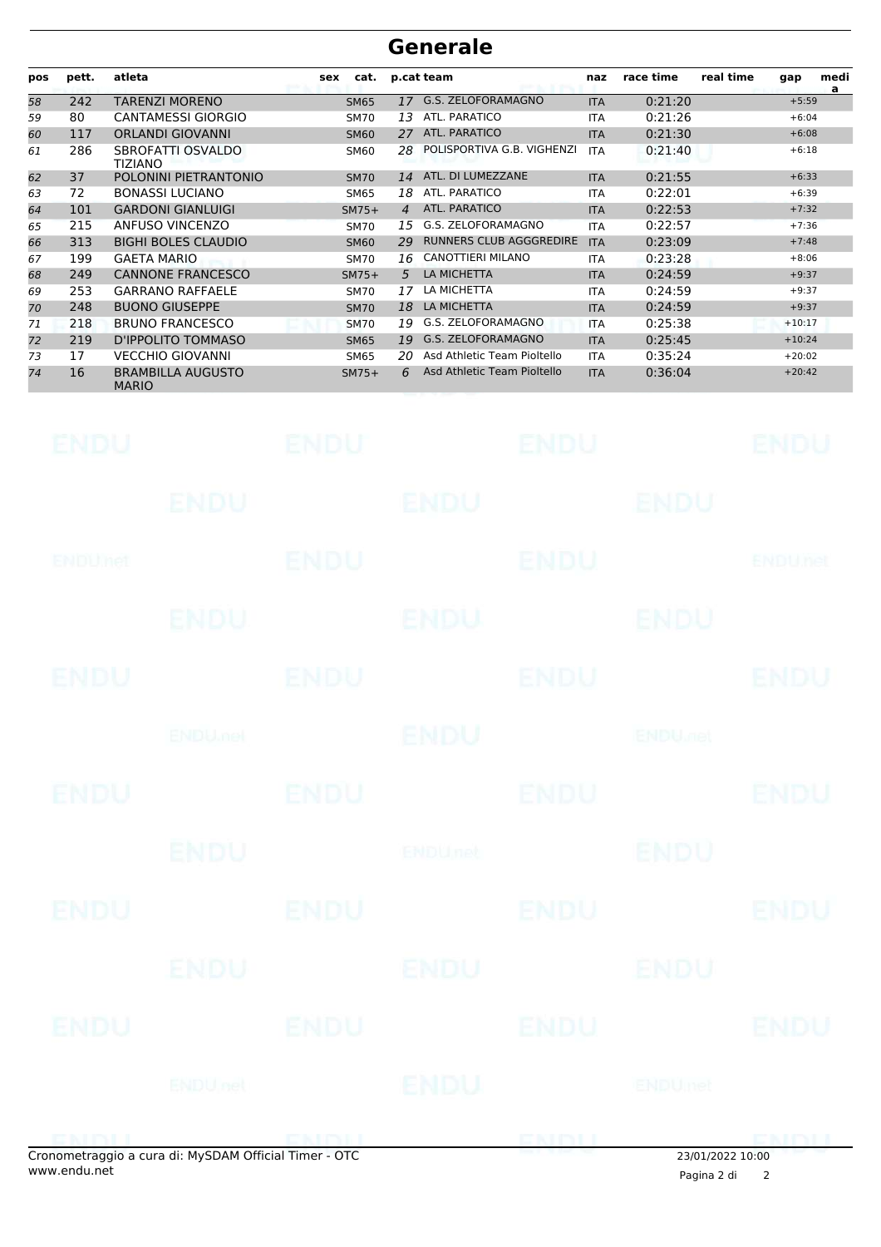### **Generale**

| pos | pett. | atleta                                   | cat.<br>sex |    | p.cat team                     | naz        | race time | real time | gap      | medi<br>a |
|-----|-------|------------------------------------------|-------------|----|--------------------------------|------------|-----------|-----------|----------|-----------|
| 58  | 242   | TARENZI MORENO                           | <b>SM65</b> | 17 | G.S. ZELOFORAMAGNO             | <b>ITA</b> | 0:21:20   |           | $+5:59$  |           |
| 59  | 80    | <b>CANTAMESSI GIORGIO</b>                | <b>SM70</b> | 13 | ATL. PARATICO                  | <b>ITA</b> | 0:21:26   |           | $+6:04$  |           |
| 60  | 117   | <b>ORLANDI GIOVANNI</b>                  | <b>SM60</b> | 27 | <b>ATL. PARATICO</b>           | <b>ITA</b> | 0:21:30   |           | $+6:08$  |           |
| 61  | 286   | SBROFATTI OSVALDO<br>TIZIANO             | <b>SM60</b> | 28 | POLISPORTIVA G.B. VIGHENZI     | <b>ITA</b> | 0:21:40   |           | $+6:18$  |           |
| 62  | 37    | POLONINI PIETRANTONIO                    | <b>SM70</b> | 14 | ATL. DI LUMEZZANE              | <b>ITA</b> | 0:21:55   |           | $+6:33$  |           |
| 63  | 72    | <b>BONASSI LUCIANO</b>                   | <b>SM65</b> | 18 | ATL. PARATICO                  | <b>ITA</b> | 0:22:01   |           | $+6:39$  |           |
| 64  | 101   | <b>GARDONI GIANLUIGI</b>                 | $SM75+$     | 4  | <b>ATL, PARATICO</b>           | <b>ITA</b> | 0:22:53   |           | $+7:32$  |           |
| 65  | 215   | ANFUSO VINCENZO                          | <b>SM70</b> | 15 | G.S. ZELOFORAMAGNO             | <b>ITA</b> | 0:22:57   |           | $+7:36$  |           |
| 66  | 313   | <b>BIGHI BOLES CLAUDIO</b>               | <b>SM60</b> | 29 | <b>RUNNERS CLUB AGGGREDIRE</b> | <b>ITA</b> | 0:23:09   |           | $+7:48$  |           |
| 67  | 199   | <b>GAETA MARIO</b>                       | <b>SM70</b> | 16 | CANOTTIERI MILANO              | <b>ITA</b> | 0:23:28   |           | $+8:06$  |           |
| 68  | 249   | <b>CANNONE FRANCESCO</b>                 | $SM75+$     | 5  | LA MICHETTA                    | <b>ITA</b> | 0:24:59   |           | $+9:37$  |           |
| 69  | 253   | <b>GARRANO RAFFAELE</b>                  | <b>SM70</b> | 17 | LA MICHETTA                    | <b>ITA</b> | 0:24:59   |           | $+9:37$  |           |
| 70  | 248   | <b>BUONO GIUSEPPE</b>                    | <b>SM70</b> | 18 | <b>LA MICHETTA</b>             | <b>ITA</b> | 0:24:59   |           | $+9:37$  |           |
| 71  | 218   | <b>BRUNO FRANCESCO</b>                   | <b>SM70</b> | 19 | G.S. ZELOFORAMAGNO             | <b>ITA</b> | 0:25:38   |           | $+10:17$ |           |
| 72  | 219   | D'IPPOLITO TOMMASO                       | <b>SM65</b> | 19 | G.S. ZELOFORAMAGNO             | <b>ITA</b> | 0:25:45   |           | $+10:24$ |           |
| 73  | 17    | <b>VECCHIO GIOVANNI</b>                  | <b>SM65</b> | 20 | Asd Athletic Team Pioltello    | <b>ITA</b> | 0:35:24   |           | $+20:02$ |           |
| 74  | 16    | <b>BRAMBILLA AUGUSTO</b><br><b>MARIO</b> | $SM75+$     | 6  | Asd Athletic Team Pioltello    | <b>ITA</b> | 0:36:04   |           | $+20:42$ |           |

| <b>ENDU</b> | <b>ENDU</b>                                         |             |                                |             | ENDU ENDU   |                  |
|-------------|-----------------------------------------------------|-------------|--------------------------------|-------------|-------------|------------------|
|             |                                                     | ENDU ENDU   |                                | ENDU        |             |                  |
| ENDUMET     |                                                     | <b>ENDU</b> |                                | <b>ENDU</b> |             | <b>ENDUnet</b>   |
|             |                                                     |             | ENDU ENDU ENDU                 |             |             |                  |
| <b>ENDU</b> | ENDU                                                |             |                                | <b>ENDU</b> |             | <b>ENDU</b>      |
|             |                                                     |             | ENDU OF ENDU ENDU ENDU ENDU OF |             |             |                  |
| <b>ENDU</b> |                                                     |             | ENDU                           |             | ENDU ENDU   |                  |
|             |                                                     |             | ENDU <b>ENDU</b> net           |             | <b>ENDU</b> |                  |
| <b>ENDU</b> | ENDU                                                |             |                                |             | ENDU        | <b>ENDU</b>      |
|             |                                                     |             | ENDU ENDU ENDU                 |             |             |                  |
|             |                                                     |             | ENDU ENDU                      |             | ENDU        | <b>ENDU</b>      |
|             |                                                     |             | ENDU net                       |             |             |                  |
|             | onometraggio a cura di: MySDAM Official Timer - OTC |             | ENDU ENDU                      |             |             | 23/01/2022 10:00 |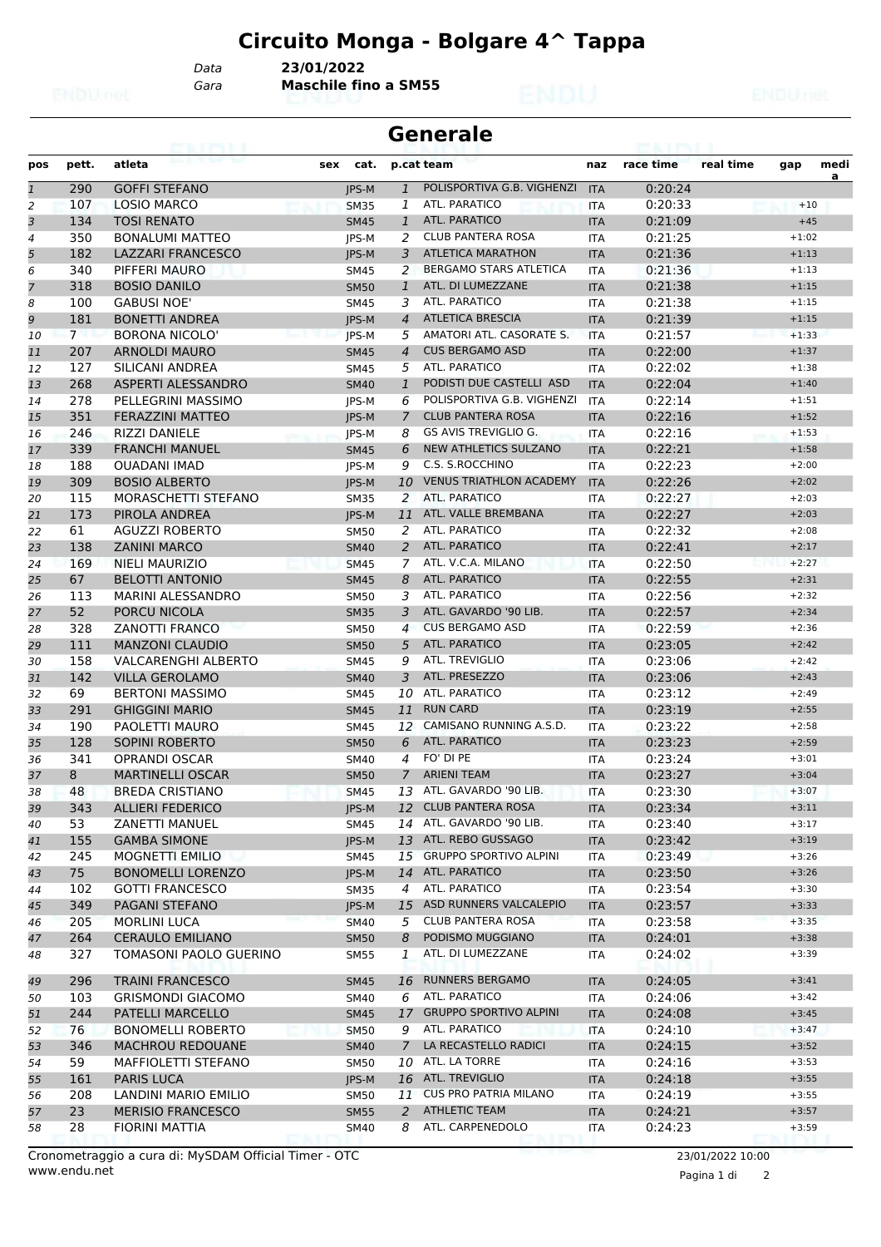*Data* **23/01/2022**

*Gara* **Maschile fino a SM55**

| Generale |  |
|----------|--|
|----------|--|

| pos          | pett. | atleta                     | sex<br>cat.  |                | p.cat team                     | naz        | race time | real time | gap     | medi |
|--------------|-------|----------------------------|--------------|----------------|--------------------------------|------------|-----------|-----------|---------|------|
| $\mathbf{1}$ | 290   | <b>GOFFI STEFANO</b>       | JPS-M        | $\mathbf{1}$   | POLISPORTIVA G.B. VIGHENZI     | <b>ITA</b> | 0:20:24   |           |         | a    |
| 2            | 107   | <b>LOSIO MARCO</b>         | <b>SM35</b>  | 1              | ATL. PARATICO                  | <b>ITA</b> | 0:20:33   |           | $+10$   |      |
| 3            | 134   | <b>TOSI RENATO</b>         | <b>SM45</b>  | $\mathbf{1}$   | <b>ATL. PARATICO</b>           | <b>ITA</b> | 0:21:09   |           | $+45$   |      |
| 4            | 350   | <b>BONALUMI MATTEO</b>     | JPS-M        | 2              | <b>CLUB PANTERA ROSA</b>       | <b>ITA</b> | 0:21:25   |           | $+1:02$ |      |
| 5            | 182   | LAZZARI FRANCESCO          | JPS-M        | 3              | <b>ATLETICA MARATHON</b>       | <b>ITA</b> | 0:21:36   |           | $+1:13$ |      |
| 6            | 340   | PIFFERI MAURO              | <b>SM45</b>  | 2              | <b>BERGAMO STARS ATLETICA</b>  | <b>ITA</b> | 0:21:36   |           | $+1:13$ |      |
| 7            | 318   | <b>BOSIO DANILO</b>        | <b>SM50</b>  | $\mathbf{1}$   | ATL. DI LUMEZZANE              | <b>ITA</b> | 0:21:38   |           | $+1:15$ |      |
| 8            | 100   | <b>GABUSI NOE'</b>         | <b>SM45</b>  | 3              | ATL. PARATICO                  | <b>ITA</b> | 0:21:38   |           | $+1:15$ |      |
| 9            | 181   | <b>BONETTI ANDREA</b>      | <b>IPS-M</b> | $\overline{4}$ | <b>ATLETICA BRESCIA</b>        | <b>ITA</b> | 0:21:39   |           | $+1:15$ |      |
| 10           | 7     | <b>BORONA NICOLO'</b>      | JPS-M        | 5              | AMATORI ATL. CASORATE S.       | <b>ITA</b> | 0:21:57   |           | $+1:33$ |      |
| 11           | 207   | <b>ARNOLDI MAURO</b>       | <b>SM45</b>  | $\overline{4}$ | <b>CUS BERGAMO ASD</b>         | <b>ITA</b> | 0:22:00   |           | $+1:37$ |      |
| 12           | 127   | SILICANI ANDREA            | <b>SM45</b>  | 5              | ATL. PARATICO                  | <b>ITA</b> | 0:22:02   |           | $+1:38$ |      |
| 13           | 268   | <b>ASPERTI ALESSANDRO</b>  | <b>SM40</b>  | $\mathbf{1}$   | PODISTI DUE CASTELLI ASD       | <b>ITA</b> | 0:22:04   |           | $+1:40$ |      |
| 14           | 278   | PELLEGRINI MASSIMO         | JPS-M        | 6              | POLISPORTIVA G.B. VIGHENZI     | <b>ITA</b> | 0:22:14   |           | $+1:51$ |      |
| 15           | 351   | <b>FERAZZINI MATTEO</b>    | <b>IPS-M</b> | $\overline{7}$ | <b>CLUB PANTERA ROSA</b>       | <b>ITA</b> | 0:22:16   |           | $+1:52$ |      |
| 16           | 246   | <b>RIZZI DANIELE</b>       | JPS-M        | 8              | GS AVIS TREVIGLIO G.           | ITA        | 0:22:16   |           | $+1:53$ |      |
| 17           | 339   | <b>FRANCHI MANUEL</b>      | <b>SM45</b>  | 6              | <b>NEW ATHLETICS SULZANO</b>   | <b>ITA</b> | 0:22:21   |           | $+1:58$ |      |
| 18           | 188   | <b>OUADANI IMAD</b>        | JPS-M        | 9              | C.S. S.ROCCHINO                | <b>ITA</b> | 0:22:23   |           | $+2:00$ |      |
| 19           | 309   | <b>BOSIO ALBERTO</b>       | JPS-M        | 10             | <b>VENUS TRIATHLON ACADEMY</b> | <b>ITA</b> | 0:22:26   |           | $+2:02$ |      |
| 20           | 115   | MORASCHETTI STEFANO        | <b>SM35</b>  | 2              | ATL. PARATICO                  | <b>ITA</b> | 0:22:27   |           | $+2:03$ |      |
| 21           | 173   | PIROLA ANDREA              | JPS-M        |                | 11 ATL. VALLE BREMBANA         | <b>ITA</b> | 0:22:27   |           | $+2:03$ |      |
| 22           | 61    | <b>AGUZZI ROBERTO</b>      | <b>SM50</b>  | 2              | ATL. PARATICO                  | <b>ITA</b> | 0:22:32   |           | $+2:08$ |      |
| 23           | 138   | <b>ZANINI MARCO</b>        | <b>SM40</b>  | $\overline{2}$ | ATL. PARATICO                  | <b>ITA</b> | 0:22:41   |           | $+2:17$ |      |
| 24           | 169   | <b>NIELI MAURIZIO</b>      | <b>SM45</b>  | 7              | ATL. V.C.A. MILANO             | <b>ITA</b> | 0:22:50   |           | $+2:27$ |      |
| 25           | 67    | <b>BELOTTI ANTONIO</b>     | <b>SM45</b>  | 8              | ATL. PARATICO                  | <b>ITA</b> | 0:22:55   |           | $+2:31$ |      |
| 26           | 113   | MARINI ALESSANDRO          | <b>SM50</b>  | 3              | ATL. PARATICO                  | <b>ITA</b> | 0:22:56   |           | $+2:32$ |      |
| 27           | 52    | PORCU NICOLA               | <b>SM35</b>  | 3              | ATL. GAVARDO '90 LIB.          | <b>ITA</b> | 0:22:57   |           | $+2:34$ |      |
| 28           | 328   | <b>ZANOTTI FRANCO</b>      | <b>SM50</b>  | 4              | <b>CUS BERGAMO ASD</b>         | <b>ITA</b> | 0:22:59   |           | $+2:36$ |      |
| 29           | 111   | <b>MANZONI CLAUDIO</b>     | <b>SM50</b>  | 5              | ATL. PARATICO                  | <b>ITA</b> | 0:23:05   |           | $+2:42$ |      |
| 30           | 158   | <b>VALCARENGHI ALBERTO</b> | <b>SM45</b>  | 9              | ATL. TREVIGLIO                 | <b>ITA</b> | 0:23:06   |           | $+2:42$ |      |
| 31           | 142   | <b>VILLA GEROLAMO</b>      | <b>SM40</b>  | 3              | ATL. PRESEZZO                  | <b>ITA</b> | 0:23:06   |           | $+2:43$ |      |
| 32           | 69    | <b>BERTONI MASSIMO</b>     | <b>SM45</b>  | 10             | ATL. PARATICO                  | <b>ITA</b> | 0:23:12   |           | $+2:49$ |      |
| 33           | 291   | <b>GHIGGINI MARIO</b>      | <b>SM45</b>  | 11             | <b>RUN CARD</b>                | <b>ITA</b> | 0:23:19   |           | $+2:55$ |      |
| 34           | 190   | PAOLETTI MAURO             | <b>SM45</b>  | 12             | CAMISANO RUNNING A.S.D.        | <b>ITA</b> | 0:23:22   |           | $+2:58$ |      |
| 35           | 128   | SOPINI ROBERTO             | <b>SM50</b>  | 6              | <b>ATL. PARATICO</b>           | <b>ITA</b> | 0:23:23   |           | $+2:59$ |      |
| 36           | 341   | <b>OPRANDI OSCAR</b>       | SM40         | 4              | FO' DI PE                      | <b>ITA</b> | 0:23:24   |           | $+3:01$ |      |
| 37           | 8     | <b>MARTINELLI OSCAR</b>    | <b>SM50</b>  | $\overline{7}$ | <b>ARIENI TEAM</b>             | <b>ITA</b> | 0:23:27   |           | $+3:04$ |      |
| 38           | 48    | <b>BREDA CRISTIANO</b>     | <b>SM45</b>  | 13             | ATL. GAVARDO '90 LIB.          | <b>ITA</b> | 0:23:30   |           | $+3:07$ |      |
| 39           | 343   | <b>ALLIERI FEDERICO</b>    | JPS-M        |                | 12 CLUB PANTERA ROSA           | <b>ITA</b> | 0:23:34   |           | $+3:11$ |      |
| 40           | 53    | ZANETTI MANUEL             | SM45         |                | 14 ATL. GAVARDO '90 LIB.       | ITA        | 0:23:40   |           | $+3:17$ |      |
| 41           | 155   | <b>GAMBA SIMONE</b>        | JPS-M        |                | 13 ATL. REBO GUSSAGO           | <b>ITA</b> | 0:23:42   |           | $+3:19$ |      |
| 42           | 245   | <b>MOGNETTI EMILIO</b>     | <b>SM45</b>  |                | 15 GRUPPO SPORTIVO ALPINI      | ITA        | 0:23:49   |           | $+3:26$ |      |
| 43           | 75    | <b>BONOMELLI LORENZO</b>   | JPS-M        |                | 14 ATL. PARATICO               | <b>ITA</b> | 0:23:50   |           | $+3:26$ |      |
| 44           | 102   | <b>GOTTI FRANCESCO</b>     | <b>SM35</b>  | 4              | ATL. PARATICO                  | <b>ITA</b> | 0:23:54   |           | $+3:30$ |      |
| 45           | 349   | PAGANI STEFANO             | JPS-M        | 15             | ASD RUNNERS VALCALEPIO         | <b>ITA</b> | 0:23:57   |           | $+3:33$ |      |
| 46           | 205   | <b>MORLINI LUCA</b>        | <b>SM40</b>  | 5              | <b>CLUB PANTERA ROSA</b>       | <b>ITA</b> | 0:23:58   |           | $+3:35$ |      |
| 47           | 264   | <b>CERAULO EMILIANO</b>    | <b>SM50</b>  | 8              | PODISMO MUGGIANO               | <b>ITA</b> | 0:24:01   |           | $+3:38$ |      |
| 48           | 327   | TOMASONI PAOLO GUERINO     | SM55         | 1              | ATL. DI LUMEZZANE              | ITA        | 0:24:02   |           | $+3:39$ |      |
| 49           | 296   | <b>TRAINI FRANCESCO</b>    | <b>SM45</b>  | 16             | <b>RUNNERS BERGAMO</b>         | <b>ITA</b> | 0:24:05   |           | $+3:41$ |      |
| 50           | 103   | <b>GRISMONDI GIACOMO</b>   | SM40         | 6              | ATL. PARATICO                  | ITA        | 0:24:06   |           | $+3:42$ |      |
| 51           | 244   | <b>PATELLI MARCELLO</b>    | <b>SM45</b>  | 17             | <b>GRUPPO SPORTIVO ALPINI</b>  | <b>ITA</b> | 0:24:08   |           | $+3:45$ |      |
| 52           | 76    | <b>BONOMELLI ROBERTO</b>   | <b>SM50</b>  | 9              | ATL. PARATICO                  | ITA        | 0:24:10   |           | $+3:47$ |      |
| 53           | 346   | <b>MACHROU REDOUANE</b>    | <b>SM40</b>  | $7^{\circ}$    | LA RECASTELLO RADICI           | <b>ITA</b> | 0:24:15   |           | $+3:52$ |      |
| 54           | 59    | MAFFIOLETTI STEFANO        | <b>SM50</b>  |                | 10 ATL. LA TORRE               | ITA        | 0:24:16   |           | $+3:53$ |      |
| 55           | 161   | <b>PARIS LUCA</b>          | JPS-M        |                | 16 ATL. TREVIGLIO              | <b>ITA</b> | 0:24:18   |           | $+3:55$ |      |
| 56           | 208   | LANDINI MARIO EMILIO       | SM50         |                | 11 CUS PRO PATRIA MILANO       | ITA        | 0:24:19   |           | $+3:55$ |      |
| 57           | 23    | <b>MERISIO FRANCESCO</b>   | <b>SM55</b>  | $\overline{2}$ | <b>ATHLETIC TEAM</b>           | <b>ITA</b> | 0:24:21   |           | $+3:57$ |      |
| 58           | 28    | <b>FIORINI MATTIA</b>      | SM40         | 8              | ATL. CARPENEDOLO               | ITA        | 0:24:23   |           | $+3:59$ |      |
|              |       |                            |              |                |                                |            |           |           |         |      |

Pagina 1 di 2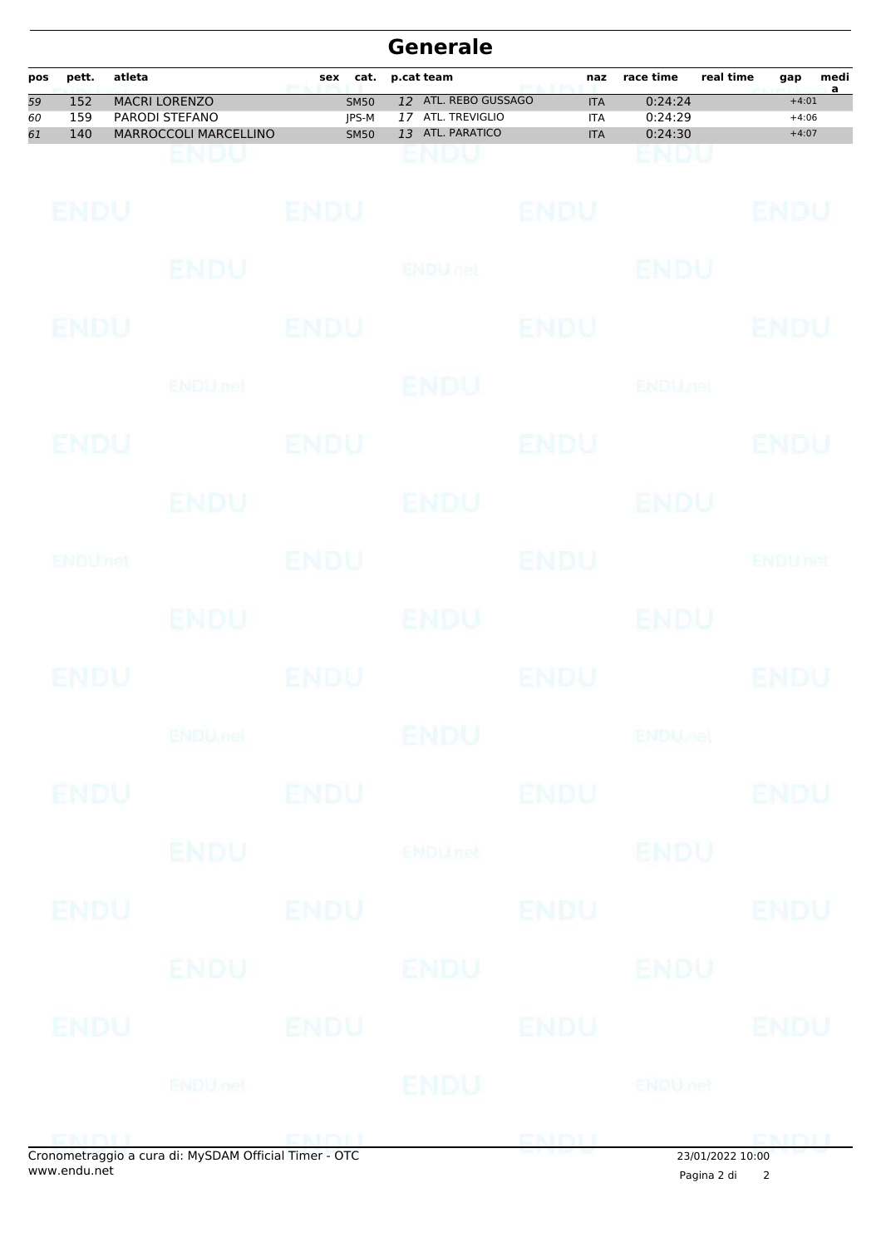|                |                   |        |                                                                           |                                     |    | <b>Generale</b>                                            |              |                                        |                               |                  |                               |           |
|----------------|-------------------|--------|---------------------------------------------------------------------------|-------------------------------------|----|------------------------------------------------------------|--------------|----------------------------------------|-------------------------------|------------------|-------------------------------|-----------|
| pos            | pett.             | atleta |                                                                           | cat.<br>sex                         |    | p.cat team                                                 |              | naz                                    | race time                     | real time        | gap                           | medi<br>a |
| 59<br>60<br>61 | 152<br>159<br>140 |        | <b>MACRI LORENZO</b><br>PARODI STEFANO<br><b>MARROCCOLI MARCELLINO</b>    | <b>SM50</b><br>JPS-M<br><b>SM50</b> | 17 | 12 ATL. REBO GUSSAGO<br>ATL. TREVIGLIO<br>13 ATL. PARATICO |              | <b>ITA</b><br><b>ITA</b><br><b>ITA</b> | 0:24:24<br>0:24:29<br>0:24:30 |                  | $+4:01$<br>$+4:06$<br>$+4:07$ |           |
|                |                   |        | ENDU                                                                      |                                     |    | ENDU                                                       |              |                                        | ENDU                          |                  |                               |           |
|                | ENDU              |        |                                                                           | <b>ENDU</b>                         |    |                                                            | <b>ENDU</b>  |                                        |                               |                  | ENDU                          |           |
|                |                   |        | ENDU                                                                      |                                     |    | <b>ENDULTED</b>                                            |              |                                        | ENDU                          |                  |                               |           |
|                | ENDU              |        |                                                                           | ENDU                                |    |                                                            | <b>ENDU</b>  |                                        |                               |                  | ENDU                          |           |
|                |                   |        | ENDU.net                                                                  |                                     |    | ENDU                                                       |              |                                        | <b>ENDUnet</b>                |                  |                               |           |
|                | ENDU              |        |                                                                           | ENDU                                |    |                                                            | <b>ENDU</b>  |                                        |                               |                  | ENDU                          |           |
|                |                   |        | ENDU                                                                      |                                     |    | <b>ENDU</b>                                                |              |                                        | ENDU                          |                  |                               |           |
|                | ENDUMet           |        |                                                                           | <b>ENDU</b>                         |    |                                                            | <b>ENDU</b>  |                                        |                               |                  | <b>ENDUTEL</b>                |           |
|                |                   |        | ENDU.                                                                     |                                     |    | ENDU                                                       |              |                                        | ENDU                          |                  |                               |           |
|                | ENDU              |        |                                                                           | ENDU                                |    |                                                            | <b>ENDU</b>  |                                        |                               |                  | ENDU                          |           |
|                |                   |        | <b>ENDUMBL</b>                                                            |                                     |    | ENDU                                                       |              |                                        | <b>ENDU<sub>DER</sub></b>     |                  |                               |           |
|                | <b>ENDU</b>       |        |                                                                           | <b>ENDU</b>                         |    |                                                            | <b>ENDU</b>  |                                        |                               |                  | <b>ENDU</b>                   |           |
|                |                   |        | <b>ENDU</b>                                                               |                                     |    | <b>ENDUnet</b>                                             |              |                                        | <b>ENDU</b>                   |                  |                               |           |
|                | ENDU              |        |                                                                           | <b>ENDU</b>                         |    |                                                            | <b>ENDU</b>  |                                        |                               |                  | <b>ENDU</b>                   |           |
|                |                   |        | ENDU                                                                      |                                     |    | ENDU                                                       |              |                                        | ENDU                          |                  |                               |           |
|                | ENDU              |        |                                                                           | <b>ENDU</b>                         |    |                                                            | <b>ENDU</b>  |                                        |                               |                  | <b>ENDU</b>                   |           |
|                |                   |        | <b>ENDU</b> nel                                                           |                                     |    | <b>IENDU</b>                                               |              |                                        | <b>ENDUmet</b>                |                  |                               |           |
|                | ENINH             |        | <b>END PRODUCT</b><br>Cropomotraggio a cura di: MySDAM Official Timor OTC |                                     |    |                                                            | <b>ENDLL</b> |                                        |                               | 22/01/2022 10:00 | <b>ENDU</b>                   |           |